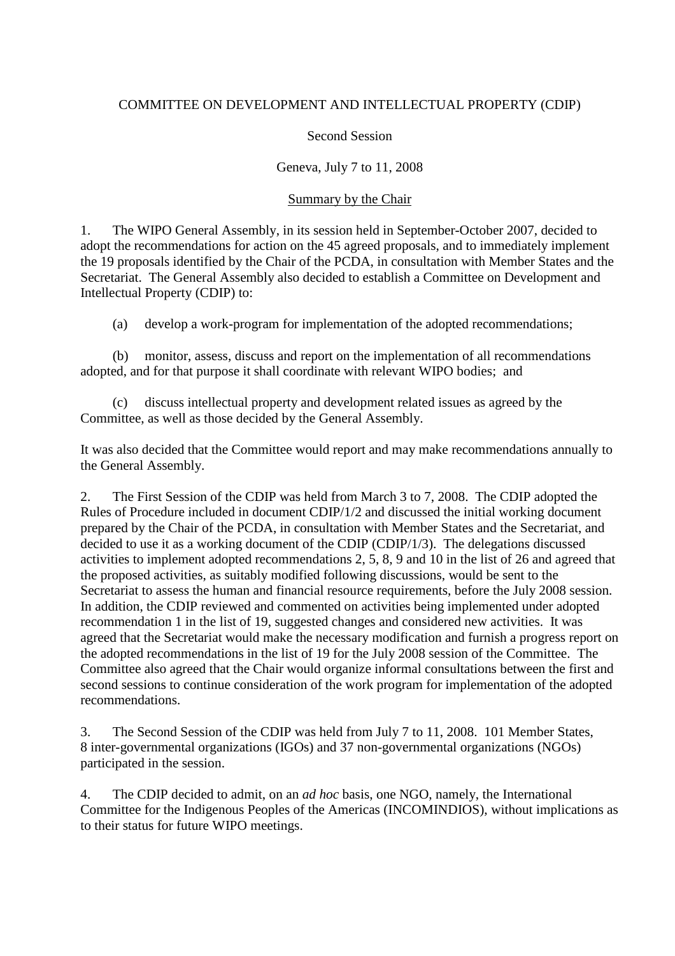## COMMITTEE ON DEVELOPMENT AND INTELLECTUAL PROPERTY (CDIP)

## Second Session

## Geneva, July 7 to 11, 2008

### Summary by the Chair

1. The WIPO General Assembly, in its session held in September-October 2007, decided to adopt the recommendations for action on the 45 agreed proposals, and to immediately implement the 19 proposals identified by the Chair of the PCDA, in consultation with Member States and the Secretariat. The General Assembly also decided to establish a Committee on Development and Intellectual Property (CDIP) to:

(a) develop a work-program for implementation of the adopted recommendations;

(b) monitor, assess, discuss and report on the implementation of all recommendations adopted, and for that purpose it shall coordinate with relevant WIPO bodies; and

(c) discuss intellectual property and development related issues as agreed by the Committee, as well as those decided by the General Assembly.

It was also decided that the Committee would report and may make recommendations annually to the General Assembly.

2. The First Session of the CDIP was held from March 3 to 7, 2008. The CDIP adopted the Rules of Procedure included in document CDIP/1/2 and discussed the initial working document prepared by the Chair of the PCDA, in consultation with Member States and the Secretariat, and decided to use it as a working document of the CDIP (CDIP/1/3). The delegations discussed activities to implement adopted recommendations 2, 5, 8, 9 and 10 in the list of 26 and agreed that the proposed activities, as suitably modified following discussions, would be sent to the Secretariat to assess the human and financial resource requirements, before the July 2008 session. In addition, the CDIP reviewed and commented on activities being implemented under adopted recommendation 1 in the list of 19, suggested changes and considered new activities. It was agreed that the Secretariat would make the necessary modification and furnish a progress report on the adopted recommendations in the list of 19 for the July 2008 session of the Committee. The Committee also agreed that the Chair would organize informal consultations between the first and second sessions to continue consideration of the work program for implementation of the adopted recommendations.

3. The Second Session of the CDIP was held from July 7 to 11, 2008. 101 Member States, 8 inter-governmental organizations (IGOs) and 37 non-governmental organizations (NGOs) participated in the session.

4. The CDIP decided to admit, on an *ad hoc* basis, one NGO, namely, the International Committee for the Indigenous Peoples of the Americas (INCOMINDIOS), without implications as to their status for future WIPO meetings.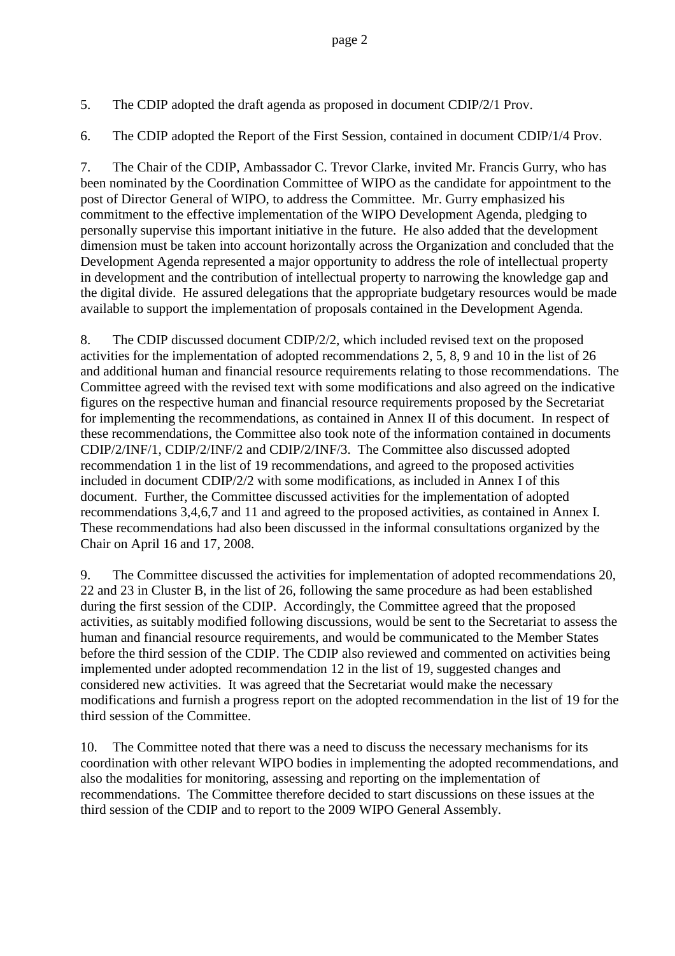5. The CDIP adopted the draft agenda as proposed in document CDIP/2/1 Prov.

6. The CDIP adopted the Report of the First Session, contained in document CDIP/1/4 Prov.

7. The Chair of the CDIP, Ambassador C. Trevor Clarke, invited Mr. Francis Gurry, who has been nominated by the Coordination Committee of WIPO as the candidate for appointment to the post of Director General of WIPO, to address the Committee. Mr. Gurry emphasized his commitment to the effective implementation of the WIPO Development Agenda, pledging to personally supervise this important initiative in the future. He also added that the development dimension must be taken into account horizontally across the Organization and concluded that the Development Agenda represented a major opportunity to address the role of intellectual property in development and the contribution of intellectual property to narrowing the knowledge gap and the digital divide. He assured delegations that the appropriate budgetary resources would be made available to support the implementation of proposals contained in the Development Agenda.

8. The CDIP discussed document CDIP/2/2, which included revised text on the proposed activities for the implementation of adopted recommendations 2, 5, 8, 9 and 10 in the list of 26 and additional human and financial resource requirements relating to those recommendations. The Committee agreed with the revised text with some modifications and also agreed on the indicative figures on the respective human and financial resource requirements proposed by the Secretariat for implementing the recommendations, as contained in Annex II of this document. In respect of these recommendations, the Committee also took note of the information contained in documents CDIP/2/INF/1, CDIP/2/INF/2 and CDIP/2/INF/3. The Committee also discussed adopted recommendation 1 in the list of 19 recommendations, and agreed to the proposed activities included in document CDIP/2/2 with some modifications, as included in Annex I of this document. Further, the Committee discussed activities for the implementation of adopted recommendations 3,4,6,7 and 11 and agreed to the proposed activities, as contained in Annex I. These recommendations had also been discussed in the informal consultations organized by the Chair on April 16 and 17, 2008.

9. The Committee discussed the activities for implementation of adopted recommendations 20, 22 and 23 in Cluster B, in the list of 26, following the same procedure as had been established during the first session of the CDIP. Accordingly, the Committee agreed that the proposed activities, as suitably modified following discussions, would be sent to the Secretariat to assess the human and financial resource requirements, and would be communicated to the Member States before the third session of the CDIP. The CDIP also reviewed and commented on activities being implemented under adopted recommendation 12 in the list of 19, suggested changes and considered new activities. It was agreed that the Secretariat would make the necessary modifications and furnish a progress report on the adopted recommendation in the list of 19 for the third session of the Committee.

10. The Committee noted that there was a need to discuss the necessary mechanisms for its coordination with other relevant WIPO bodies in implementing the adopted recommendations, and also the modalities for monitoring, assessing and reporting on the implementation of recommendations. The Committee therefore decided to start discussions on these issues at the third session of the CDIP and to report to the 2009 WIPO General Assembly.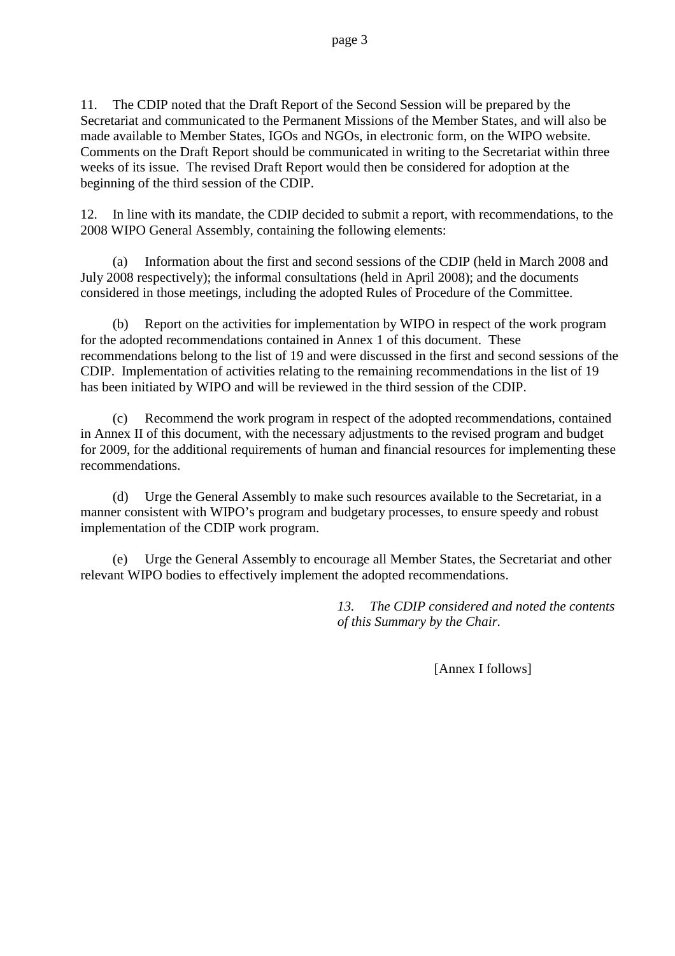11. The CDIP noted that the Draft Report of the Second Session will be prepared by the Secretariat and communicated to the Permanent Missions of the Member States, and will also be made available to Member States, IGOs and NGOs, in electronic form, on the WIPO website. Comments on the Draft Report should be communicated in writing to the Secretariat within three weeks of its issue. The revised Draft Report would then be considered for adoption at the beginning of the third session of the CDIP.

12. In line with its mandate, the CDIP decided to submit a report, with recommendations, to the 2008 WIPO General Assembly, containing the following elements:

(a) Information about the first and second sessions of the CDIP (held in March 2008 and July 2008 respectively); the informal consultations (held in April 2008); and the documents considered in those meetings, including the adopted Rules of Procedure of the Committee.

(b) Report on the activities for implementation by WIPO in respect of the work program for the adopted recommendations contained in Annex 1 of this document. These recommendations belong to the list of 19 and were discussed in the first and second sessions of the CDIP. Implementation of activities relating to the remaining recommendations in the list of 19 has been initiated by WIPO and will be reviewed in the third session of the CDIP.

(c) Recommend the work program in respect of the adopted recommendations, contained in Annex II of this document, with the necessary adjustments to the revised program and budget for 2009, for the additional requirements of human and financial resources for implementing these recommendations.

(d) Urge the General Assembly to make such resources available to the Secretariat, in a manner consistent with WIPO's program and budgetary processes, to ensure speedy and robust implementation of the CDIP work program.

(e) Urge the General Assembly to encourage all Member States, the Secretariat and other relevant WIPO bodies to effectively implement the adopted recommendations.

> *13. The CDIP considered and noted the contents of this Summary by the Chair.*

> > [Annex I follows]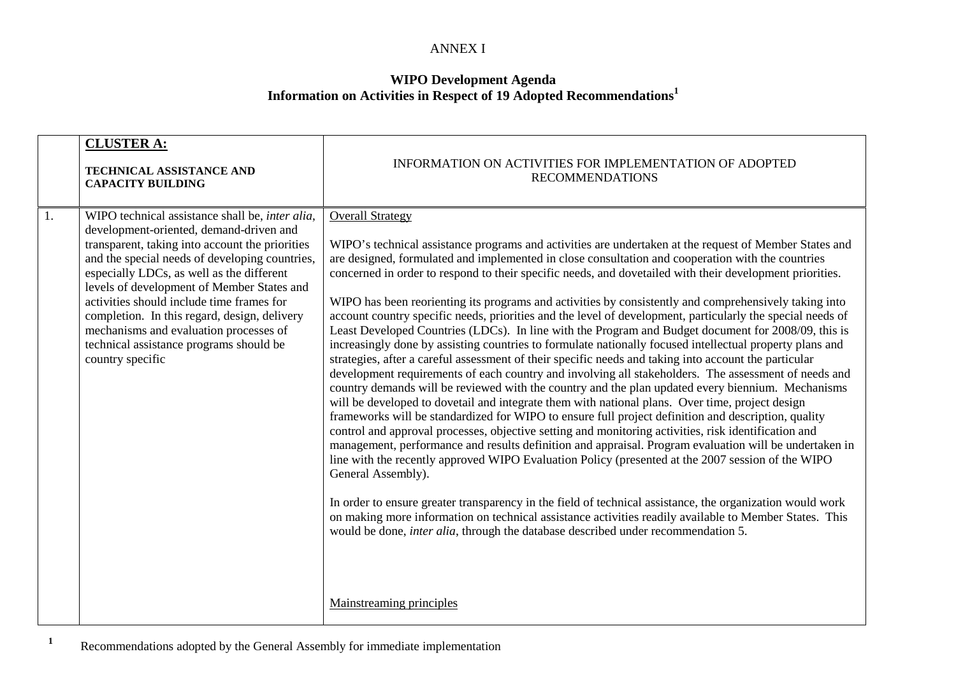#### ANNEX I

## **WIPO Development Agenda Information on Activities in Respect of <sup>19</sup> Adopted Recommendations<sup>1</sup>**

|                  | <b>CLUSTER A:</b><br><b>TECHNICAL ASSISTANCE AND</b><br><b>CAPACITY BUILDING</b>                                                                                                                                                                                                                                                                                                                                                                                                                         | INFORMATION ON ACTIVITIES FOR IMPLEMENTATION OF ADOPTED<br><b>RECOMMENDATIONS</b>                                                                                                                                                                                                                                                                                                                                                                                                                                                                                                                                                                                                                                                                                                                                                                                                                                                                                                                                                                                                                                                                                                                                                                                                                                                                                                                                                                                                                                                                                                                                                                                                                                                                                                                                                                                                                                                                                                             |
|------------------|----------------------------------------------------------------------------------------------------------------------------------------------------------------------------------------------------------------------------------------------------------------------------------------------------------------------------------------------------------------------------------------------------------------------------------------------------------------------------------------------------------|-----------------------------------------------------------------------------------------------------------------------------------------------------------------------------------------------------------------------------------------------------------------------------------------------------------------------------------------------------------------------------------------------------------------------------------------------------------------------------------------------------------------------------------------------------------------------------------------------------------------------------------------------------------------------------------------------------------------------------------------------------------------------------------------------------------------------------------------------------------------------------------------------------------------------------------------------------------------------------------------------------------------------------------------------------------------------------------------------------------------------------------------------------------------------------------------------------------------------------------------------------------------------------------------------------------------------------------------------------------------------------------------------------------------------------------------------------------------------------------------------------------------------------------------------------------------------------------------------------------------------------------------------------------------------------------------------------------------------------------------------------------------------------------------------------------------------------------------------------------------------------------------------------------------------------------------------------------------------------------------------|
| $\overline{1}$ . | WIPO technical assistance shall be, <i>inter alia</i> ,<br>development-oriented, demand-driven and<br>transparent, taking into account the priorities<br>and the special needs of developing countries,<br>especially LDCs, as well as the different<br>levels of development of Member States and<br>activities should include time frames for<br>completion. In this regard, design, delivery<br>mechanisms and evaluation processes of<br>technical assistance programs should be<br>country specific | <b>Overall Strategy</b><br>WIPO's technical assistance programs and activities are undertaken at the request of Member States and<br>are designed, formulated and implemented in close consultation and cooperation with the countries<br>concerned in order to respond to their specific needs, and dovetailed with their development priorities.<br>WIPO has been reorienting its programs and activities by consistently and comprehensively taking into<br>account country specific needs, priorities and the level of development, particularly the special needs of<br>Least Developed Countries (LDCs). In line with the Program and Budget document for 2008/09, this is<br>increasingly done by assisting countries to formulate nationally focused intellectual property plans and<br>strategies, after a careful assessment of their specific needs and taking into account the particular<br>development requirements of each country and involving all stakeholders. The assessment of needs and<br>country demands will be reviewed with the country and the plan updated every biennium. Mechanisms<br>will be developed to dovetail and integrate them with national plans. Over time, project design<br>frameworks will be standardized for WIPO to ensure full project definition and description, quality<br>control and approval processes, objective setting and monitoring activities, risk identification and<br>management, performance and results definition and appraisal. Program evaluation will be undertaken in<br>line with the recently approved WIPO Evaluation Policy (presented at the 2007 session of the WIPO<br>General Assembly).<br>In order to ensure greater transparency in the field of technical assistance, the organization would work<br>on making more information on technical assistance activities readily available to Member States. This<br>would be done, <i>inter alia</i> , through the database described under recommendation 5. |
|                  |                                                                                                                                                                                                                                                                                                                                                                                                                                                                                                          | Mainstreaming principles                                                                                                                                                                                                                                                                                                                                                                                                                                                                                                                                                                                                                                                                                                                                                                                                                                                                                                                                                                                                                                                                                                                                                                                                                                                                                                                                                                                                                                                                                                                                                                                                                                                                                                                                                                                                                                                                                                                                                                      |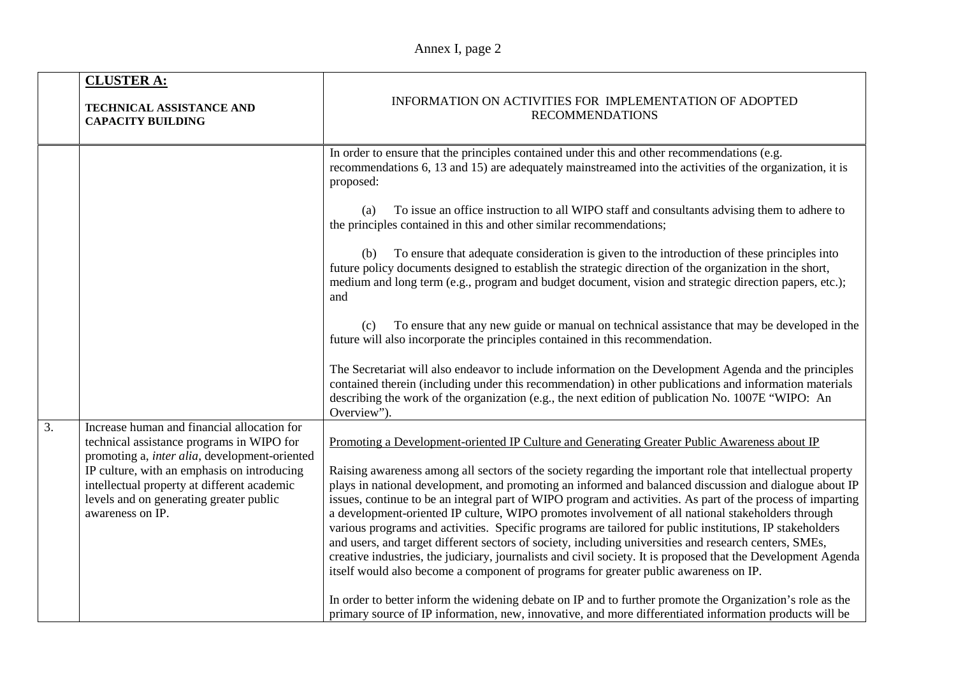|                  | <b>CLUSTER A:</b><br>TECHNICAL ASSISTANCE AND<br><b>CAPACITY BUILDING</b>                                                                                 | INFORMATION ON ACTIVITIES FOR IMPLEMENTATION OF ADOPTED<br><b>RECOMMENDATIONS</b>                                                                                                                                                                                                                                                                                                                                                                                                                                                                                                                                                                                                                                                                                                                                                                                       |  |
|------------------|-----------------------------------------------------------------------------------------------------------------------------------------------------------|-------------------------------------------------------------------------------------------------------------------------------------------------------------------------------------------------------------------------------------------------------------------------------------------------------------------------------------------------------------------------------------------------------------------------------------------------------------------------------------------------------------------------------------------------------------------------------------------------------------------------------------------------------------------------------------------------------------------------------------------------------------------------------------------------------------------------------------------------------------------------|--|
|                  |                                                                                                                                                           | In order to ensure that the principles contained under this and other recommendations (e.g.<br>recommendations 6, 13 and 15) are adequately mainstreamed into the activities of the organization, it is<br>proposed:                                                                                                                                                                                                                                                                                                                                                                                                                                                                                                                                                                                                                                                    |  |
|                  |                                                                                                                                                           | To issue an office instruction to all WIPO staff and consultants advising them to adhere to<br>(a)<br>the principles contained in this and other similar recommendations;                                                                                                                                                                                                                                                                                                                                                                                                                                                                                                                                                                                                                                                                                               |  |
|                  |                                                                                                                                                           | To ensure that adequate consideration is given to the introduction of these principles into<br>(b)<br>future policy documents designed to establish the strategic direction of the organization in the short,<br>medium and long term (e.g., program and budget document, vision and strategic direction papers, etc.);<br>and                                                                                                                                                                                                                                                                                                                                                                                                                                                                                                                                          |  |
|                  |                                                                                                                                                           | To ensure that any new guide or manual on technical assistance that may be developed in the<br>(c)<br>future will also incorporate the principles contained in this recommendation.                                                                                                                                                                                                                                                                                                                                                                                                                                                                                                                                                                                                                                                                                     |  |
|                  |                                                                                                                                                           | The Secretariat will also endeavor to include information on the Development Agenda and the principles<br>contained therein (including under this recommendation) in other publications and information materials<br>describing the work of the organization (e.g., the next edition of publication No. 1007E "WIPO: An<br>Overview").                                                                                                                                                                                                                                                                                                                                                                                                                                                                                                                                  |  |
| $\overline{3}$ . | Increase human and financial allocation for<br>technical assistance programs in WIPO for<br>promoting a, inter alia, development-oriented                 | Promoting a Development-oriented IP Culture and Generating Greater Public Awareness about IP                                                                                                                                                                                                                                                                                                                                                                                                                                                                                                                                                                                                                                                                                                                                                                            |  |
|                  | IP culture, with an emphasis on introducing<br>intellectual property at different academic<br>levels and on generating greater public<br>awareness on IP. | Raising awareness among all sectors of the society regarding the important role that intellectual property<br>plays in national development, and promoting an informed and balanced discussion and dialogue about IP<br>issues, continue to be an integral part of WIPO program and activities. As part of the process of imparting<br>a development-oriented IP culture, WIPO promotes involvement of all national stakeholders through<br>various programs and activities. Specific programs are tailored for public institutions, IP stakeholders<br>and users, and target different sectors of society, including universities and research centers, SMEs,<br>creative industries, the judiciary, journalists and civil society. It is proposed that the Development Agenda<br>itself would also become a component of programs for greater public awareness on IP. |  |
|                  |                                                                                                                                                           | In order to better inform the widening debate on IP and to further promote the Organization's role as the<br>primary source of IP information, new, innovative, and more differentiated information products will be                                                                                                                                                                                                                                                                                                                                                                                                                                                                                                                                                                                                                                                    |  |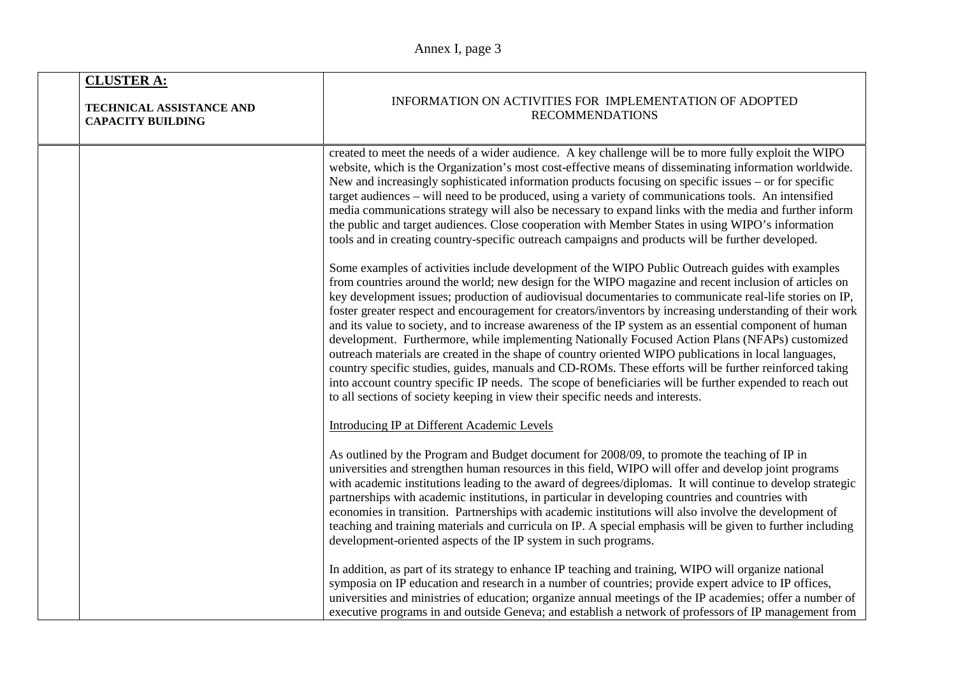|  | <b>CLUSTER A:</b><br>TECHNICAL ASSISTANCE AND<br><b>CAPACITY BUILDING</b> | INFORMATION ON ACTIVITIES FOR IMPLEMENTATION OF ADOPTED<br><b>RECOMMENDATIONS</b>                                                                                                                                                                                                                                                                                                                                                                                                                                                                                                                                                                                                                                                                                                                                                                                                                                                                                                                                                                                |  |
|--|---------------------------------------------------------------------------|------------------------------------------------------------------------------------------------------------------------------------------------------------------------------------------------------------------------------------------------------------------------------------------------------------------------------------------------------------------------------------------------------------------------------------------------------------------------------------------------------------------------------------------------------------------------------------------------------------------------------------------------------------------------------------------------------------------------------------------------------------------------------------------------------------------------------------------------------------------------------------------------------------------------------------------------------------------------------------------------------------------------------------------------------------------|--|
|  |                                                                           | created to meet the needs of a wider audience. A key challenge will be to more fully exploit the WIPO<br>website, which is the Organization's most cost-effective means of disseminating information worldwide.<br>New and increasingly sophisticated information products focusing on specific issues – or for specific<br>target audiences - will need to be produced, using a variety of communications tools. An intensified<br>media communications strategy will also be necessary to expand links with the media and further inform<br>the public and target audiences. Close cooperation with Member States in using WIPO's information<br>tools and in creating country-specific outreach campaigns and products will be further developed.                                                                                                                                                                                                                                                                                                             |  |
|  |                                                                           | Some examples of activities include development of the WIPO Public Outreach guides with examples<br>from countries around the world; new design for the WIPO magazine and recent inclusion of articles on<br>key development issues; production of audiovisual documentaries to communicate real-life stories on IP,<br>foster greater respect and encouragement for creators/inventors by increasing understanding of their work<br>and its value to society, and to increase awareness of the IP system as an essential component of human<br>development. Furthermore, while implementing Nationally Focused Action Plans (NFAPs) customized<br>outreach materials are created in the shape of country oriented WIPO publications in local languages,<br>country specific studies, guides, manuals and CD-ROMs. These efforts will be further reinforced taking<br>into account country specific IP needs. The scope of beneficiaries will be further expended to reach out<br>to all sections of society keeping in view their specific needs and interests. |  |
|  |                                                                           | Introducing IP at Different Academic Levels                                                                                                                                                                                                                                                                                                                                                                                                                                                                                                                                                                                                                                                                                                                                                                                                                                                                                                                                                                                                                      |  |
|  |                                                                           | As outlined by the Program and Budget document for 2008/09, to promote the teaching of IP in<br>universities and strengthen human resources in this field, WIPO will offer and develop joint programs<br>with academic institutions leading to the award of degrees/diplomas. It will continue to develop strategic<br>partnerships with academic institutions, in particular in developing countries and countries with<br>economies in transition. Partnerships with academic institutions will also involve the development of<br>teaching and training materials and curricula on IP. A special emphasis will be given to further including<br>development-oriented aspects of the IP system in such programs.                                                                                                                                                                                                                                                                                                                                               |  |
|  |                                                                           | In addition, as part of its strategy to enhance IP teaching and training, WIPO will organize national<br>symposia on IP education and research in a number of countries; provide expert advice to IP offices,<br>universities and ministries of education; organize annual meetings of the IP academies; offer a number of<br>executive programs in and outside Geneva; and establish a network of professors of IP management from                                                                                                                                                                                                                                                                                                                                                                                                                                                                                                                                                                                                                              |  |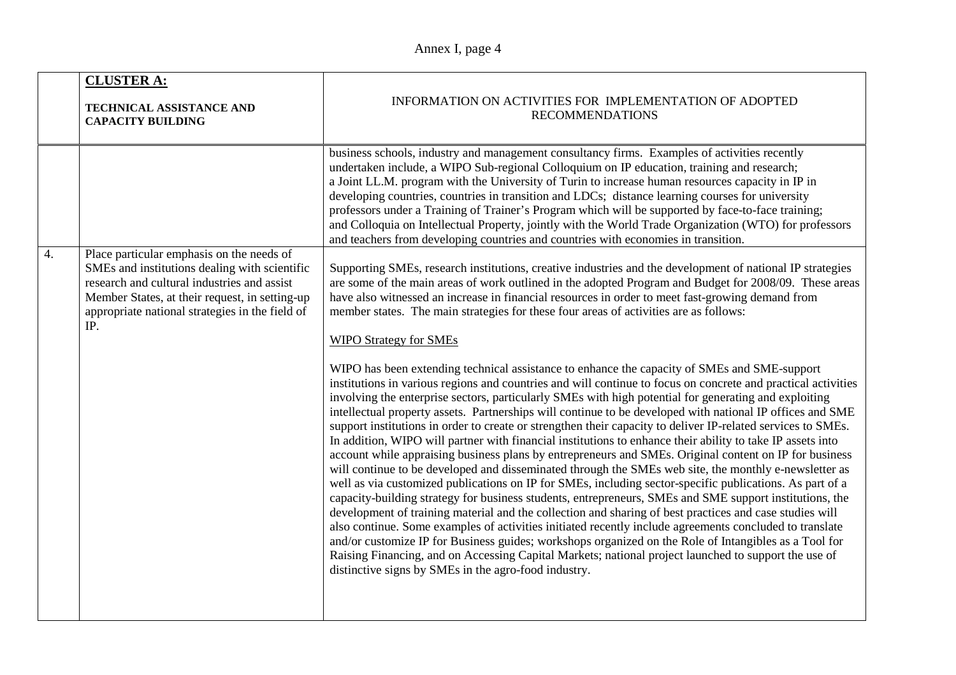| <b>CLUSTER A:</b><br><b>TECHNICAL ASSISTANCE AND</b><br><b>CAPACITY BUILDING</b>                                                                                                                                                                                          | INFORMATION ON ACTIVITIES FOR IMPLEMENTATION OF ADOPTED<br><b>RECOMMENDATIONS</b>                                                                                                                                                                                                                                                                                                                                                                                                                                                                                                                                                                                                                                                                                                                                                                                                                                                                                                                                                                                                                                                                                                                                                                                                                                                                                                                                                                                                                                                                                                                                                                                                                                                                                                                                                                                                                                                                                                                                                                               |  |
|---------------------------------------------------------------------------------------------------------------------------------------------------------------------------------------------------------------------------------------------------------------------------|-----------------------------------------------------------------------------------------------------------------------------------------------------------------------------------------------------------------------------------------------------------------------------------------------------------------------------------------------------------------------------------------------------------------------------------------------------------------------------------------------------------------------------------------------------------------------------------------------------------------------------------------------------------------------------------------------------------------------------------------------------------------------------------------------------------------------------------------------------------------------------------------------------------------------------------------------------------------------------------------------------------------------------------------------------------------------------------------------------------------------------------------------------------------------------------------------------------------------------------------------------------------------------------------------------------------------------------------------------------------------------------------------------------------------------------------------------------------------------------------------------------------------------------------------------------------------------------------------------------------------------------------------------------------------------------------------------------------------------------------------------------------------------------------------------------------------------------------------------------------------------------------------------------------------------------------------------------------------------------------------------------------------------------------------------------------|--|
|                                                                                                                                                                                                                                                                           | business schools, industry and management consultancy firms. Examples of activities recently<br>undertaken include, a WIPO Sub-regional Colloquium on IP education, training and research;<br>a Joint LL.M. program with the University of Turin to increase human resources capacity in IP in<br>developing countries, countries in transition and LDCs; distance learning courses for university<br>professors under a Training of Trainer's Program which will be supported by face-to-face training;<br>and Colloquia on Intellectual Property, jointly with the World Trade Organization (WTO) for professors<br>and teachers from developing countries and countries with economies in transition.                                                                                                                                                                                                                                                                                                                                                                                                                                                                                                                                                                                                                                                                                                                                                                                                                                                                                                                                                                                                                                                                                                                                                                                                                                                                                                                                                        |  |
| $\overline{4}$ .<br>Place particular emphasis on the needs of<br>SMEs and institutions dealing with scientific<br>research and cultural industries and assist<br>Member States, at their request, in setting-up<br>appropriate national strategies in the field of<br>IP. | Supporting SMEs, research institutions, creative industries and the development of national IP strategies<br>are some of the main areas of work outlined in the adopted Program and Budget for 2008/09. These areas<br>have also witnessed an increase in financial resources in order to meet fast-growing demand from<br>member states. The main strategies for these four areas of activities are as follows:<br><b>WIPO Strategy for SMEs</b><br>WIPO has been extending technical assistance to enhance the capacity of SMEs and SME-support<br>institutions in various regions and countries and will continue to focus on concrete and practical activities<br>involving the enterprise sectors, particularly SMEs with high potential for generating and exploiting<br>intellectual property assets. Partnerships will continue to be developed with national IP offices and SME<br>support institutions in order to create or strengthen their capacity to deliver IP-related services to SMEs.<br>In addition, WIPO will partner with financial institutions to enhance their ability to take IP assets into<br>account while appraising business plans by entrepreneurs and SMEs. Original content on IP for business<br>will continue to be developed and disseminated through the SMEs web site, the monthly e-newsletter as<br>well as via customized publications on IP for SMEs, including sector-specific publications. As part of a<br>capacity-building strategy for business students, entrepreneurs, SMEs and SME support institutions, the<br>development of training material and the collection and sharing of best practices and case studies will<br>also continue. Some examples of activities initiated recently include agreements concluded to translate<br>and/or customize IP for Business guides; workshops organized on the Role of Intangibles as a Tool for<br>Raising Financing, and on Accessing Capital Markets; national project launched to support the use of<br>distinctive signs by SMEs in the agro-food industry. |  |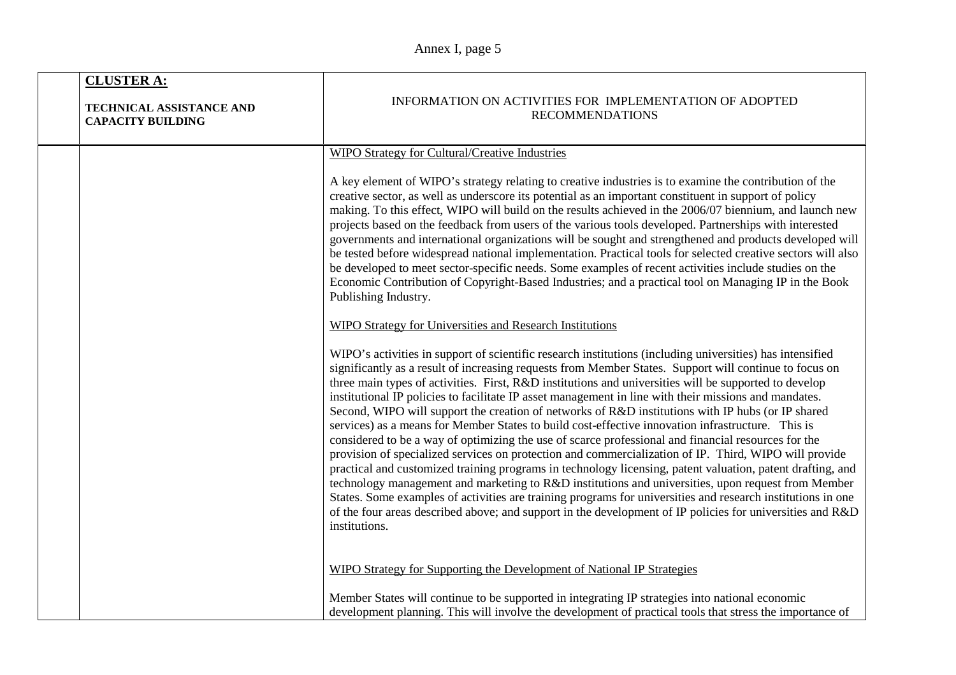| <b>CLUSTER A:</b><br>TECHNICAL ASSISTANCE AND<br><b>CAPACITY BUILDING</b> | INFORMATION ON ACTIVITIES FOR IMPLEMENTATION OF ADOPTED<br><b>RECOMMENDATIONS</b>                                                                                                                                                                                                                                                                                                                                                                                                                                                                                                                                                                                                                                                                                                                                                                                                                                                                                                                                                                                                                                                                                                                                                                                                                                                |  |
|---------------------------------------------------------------------------|----------------------------------------------------------------------------------------------------------------------------------------------------------------------------------------------------------------------------------------------------------------------------------------------------------------------------------------------------------------------------------------------------------------------------------------------------------------------------------------------------------------------------------------------------------------------------------------------------------------------------------------------------------------------------------------------------------------------------------------------------------------------------------------------------------------------------------------------------------------------------------------------------------------------------------------------------------------------------------------------------------------------------------------------------------------------------------------------------------------------------------------------------------------------------------------------------------------------------------------------------------------------------------------------------------------------------------|--|
|                                                                           | WIPO Strategy for Cultural/Creative Industries                                                                                                                                                                                                                                                                                                                                                                                                                                                                                                                                                                                                                                                                                                                                                                                                                                                                                                                                                                                                                                                                                                                                                                                                                                                                                   |  |
|                                                                           | A key element of WIPO's strategy relating to creative industries is to examine the contribution of the<br>creative sector, as well as underscore its potential as an important constituent in support of policy<br>making. To this effect, WIPO will build on the results achieved in the 2006/07 biennium, and launch new<br>projects based on the feedback from users of the various tools developed. Partnerships with interested<br>governments and international organizations will be sought and strengthened and products developed will<br>be tested before widespread national implementation. Practical tools for selected creative sectors will also<br>be developed to meet sector-specific needs. Some examples of recent activities include studies on the<br>Economic Contribution of Copyright-Based Industries; and a practical tool on Managing IP in the Book<br>Publishing Industry.                                                                                                                                                                                                                                                                                                                                                                                                                         |  |
|                                                                           | <b>WIPO Strategy for Universities and Research Institutions</b>                                                                                                                                                                                                                                                                                                                                                                                                                                                                                                                                                                                                                                                                                                                                                                                                                                                                                                                                                                                                                                                                                                                                                                                                                                                                  |  |
|                                                                           | WIPO's activities in support of scientific research institutions (including universities) has intensified<br>significantly as a result of increasing requests from Member States. Support will continue to focus on<br>three main types of activities. First, R&D institutions and universities will be supported to develop<br>institutional IP policies to facilitate IP asset management in line with their missions and mandates.<br>Second, WIPO will support the creation of networks of R&D institutions with IP hubs (or IP shared<br>services) as a means for Member States to build cost-effective innovation infrastructure. This is<br>considered to be a way of optimizing the use of scarce professional and financial resources for the<br>provision of specialized services on protection and commercialization of IP. Third, WIPO will provide<br>practical and customized training programs in technology licensing, patent valuation, patent drafting, and<br>technology management and marketing to R&D institutions and universities, upon request from Member<br>States. Some examples of activities are training programs for universities and research institutions in one<br>of the four areas described above; and support in the development of IP policies for universities and R&D<br>institutions. |  |
|                                                                           | WIPO Strategy for Supporting the Development of National IP Strategies                                                                                                                                                                                                                                                                                                                                                                                                                                                                                                                                                                                                                                                                                                                                                                                                                                                                                                                                                                                                                                                                                                                                                                                                                                                           |  |
|                                                                           | Member States will continue to be supported in integrating IP strategies into national economic<br>development planning. This will involve the development of practical tools that stress the importance of                                                                                                                                                                                                                                                                                                                                                                                                                                                                                                                                                                                                                                                                                                                                                                                                                                                                                                                                                                                                                                                                                                                      |  |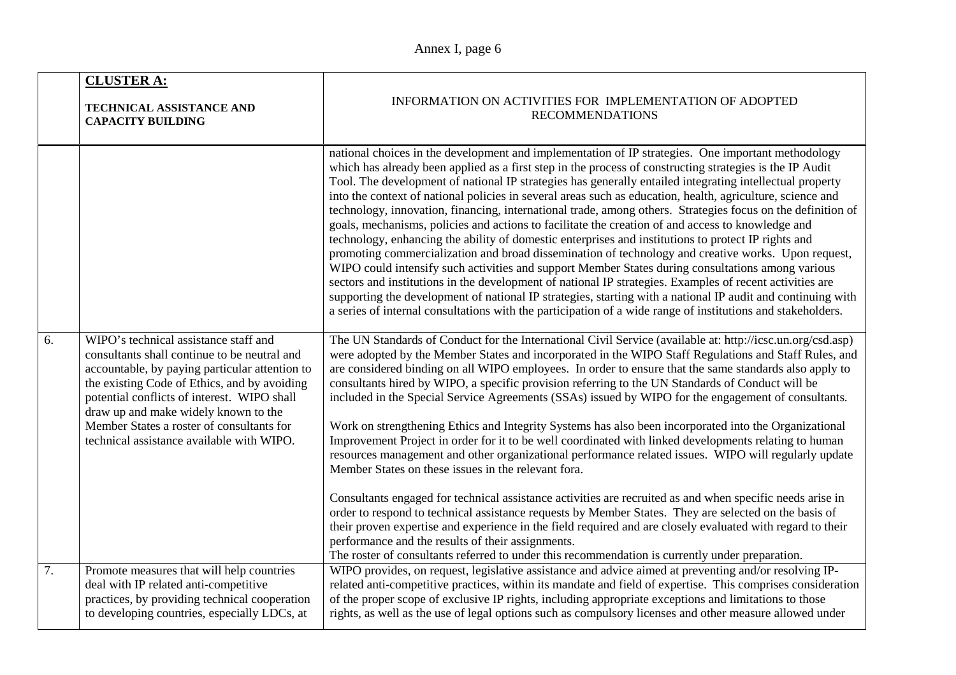|    | <b>CLUSTER A:</b><br>INFORMATION ON ACTIVITIES FOR IMPLEMENTATION OF ADOPTED<br>TECHNICAL ASSISTANCE AND<br><b>RECOMMENDATIONS</b><br><b>CAPACITY BUILDING</b>                                                                                                                                                                                                           |                                                                                                                                                                                                                                                                                                                                                                                                                                                                                                                                                                                                                                                                                                                                                                                                                                                                                                                                                                                                                                                                                                                                                                                                                                                                                                                           |
|----|--------------------------------------------------------------------------------------------------------------------------------------------------------------------------------------------------------------------------------------------------------------------------------------------------------------------------------------------------------------------------|---------------------------------------------------------------------------------------------------------------------------------------------------------------------------------------------------------------------------------------------------------------------------------------------------------------------------------------------------------------------------------------------------------------------------------------------------------------------------------------------------------------------------------------------------------------------------------------------------------------------------------------------------------------------------------------------------------------------------------------------------------------------------------------------------------------------------------------------------------------------------------------------------------------------------------------------------------------------------------------------------------------------------------------------------------------------------------------------------------------------------------------------------------------------------------------------------------------------------------------------------------------------------------------------------------------------------|
|    |                                                                                                                                                                                                                                                                                                                                                                          | national choices in the development and implementation of IP strategies. One important methodology<br>which has already been applied as a first step in the process of constructing strategies is the IP Audit<br>Tool. The development of national IP strategies has generally entailed integrating intellectual property<br>into the context of national policies in several areas such as education, health, agriculture, science and<br>technology, innovation, financing, international trade, among others. Strategies focus on the definition of<br>goals, mechanisms, policies and actions to facilitate the creation of and access to knowledge and<br>technology, enhancing the ability of domestic enterprises and institutions to protect IP rights and<br>promoting commercialization and broad dissemination of technology and creative works. Upon request,<br>WIPO could intensify such activities and support Member States during consultations among various<br>sectors and institutions in the development of national IP strategies. Examples of recent activities are<br>supporting the development of national IP strategies, starting with a national IP audit and continuing with<br>a series of internal consultations with the participation of a wide range of institutions and stakeholders. |
| 6. | WIPO's technical assistance staff and<br>consultants shall continue to be neutral and<br>accountable, by paying particular attention to<br>the existing Code of Ethics, and by avoiding<br>potential conflicts of interest. WIPO shall<br>draw up and make widely known to the<br>Member States a roster of consultants for<br>technical assistance available with WIPO. | The UN Standards of Conduct for the International Civil Service (available at: http://icsc.un.org/csd.asp)<br>were adopted by the Member States and incorporated in the WIPO Staff Regulations and Staff Rules, and<br>are considered binding on all WIPO employees. In order to ensure that the same standards also apply to<br>consultants hired by WIPO, a specific provision referring to the UN Standards of Conduct will be<br>included in the Special Service Agreements (SSAs) issued by WIPO for the engagement of consultants.<br>Work on strengthening Ethics and Integrity Systems has also been incorporated into the Organizational<br>Improvement Project in order for it to be well coordinated with linked developments relating to human<br>resources management and other organizational performance related issues. WIPO will regularly update<br>Member States on these issues in the relevant fora.<br>Consultants engaged for technical assistance activities are recruited as and when specific needs arise in<br>order to respond to technical assistance requests by Member States. They are selected on the basis of<br>their proven expertise and experience in the field required and are closely evaluated with regard to their<br>performance and the results of their assignments.        |
|    |                                                                                                                                                                                                                                                                                                                                                                          | The roster of consultants referred to under this recommendation is currently under preparation.                                                                                                                                                                                                                                                                                                                                                                                                                                                                                                                                                                                                                                                                                                                                                                                                                                                                                                                                                                                                                                                                                                                                                                                                                           |
| 7. | Promote measures that will help countries<br>deal with IP related anti-competitive<br>practices, by providing technical cooperation<br>to developing countries, especially LDCs, at                                                                                                                                                                                      | WIPO provides, on request, legislative assistance and advice aimed at preventing and/or resolving IP-<br>related anti-competitive practices, within its mandate and field of expertise. This comprises consideration<br>of the proper scope of exclusive IP rights, including appropriate exceptions and limitations to those<br>rights, as well as the use of legal options such as compulsory licenses and other measure allowed under                                                                                                                                                                                                                                                                                                                                                                                                                                                                                                                                                                                                                                                                                                                                                                                                                                                                                  |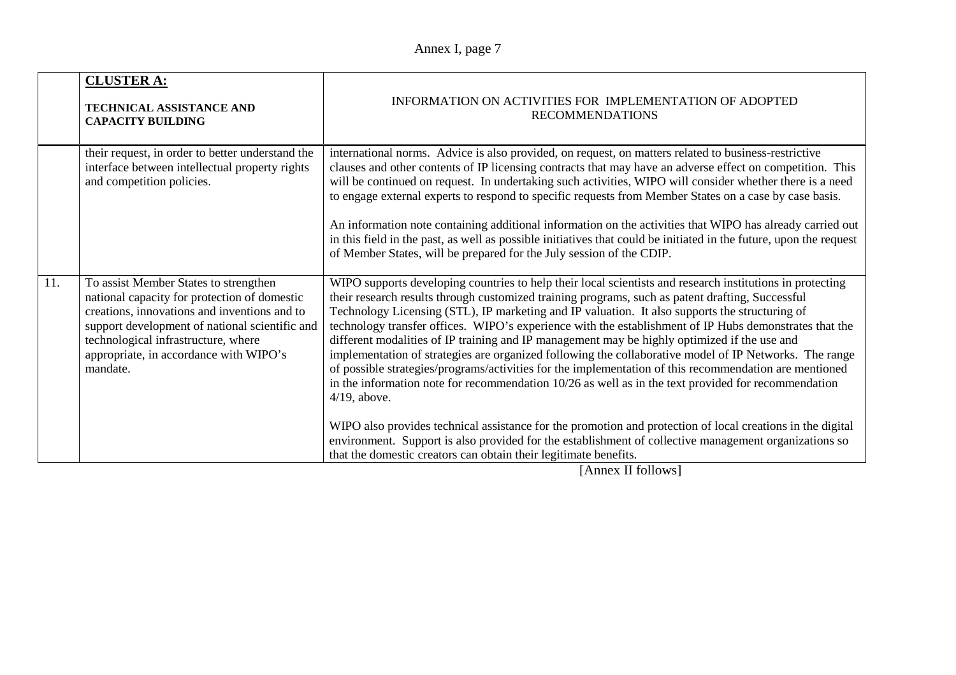|     | <b>CLUSTER A:</b><br><b>TECHNICAL ASSISTANCE AND</b><br><b>CAPACITY BUILDING</b>                                                                                                                                                                                                                                                                                                                                                                                                                                                                                                                                                                                                                                                                                                                                                                                                      | INFORMATION ON ACTIVITIES FOR IMPLEMENTATION OF ADOPTED<br><b>RECOMMENDATIONS</b>                                                                                                                                                                                                                                                                                                                                                                                                                                                                                                                                                                                                                                                                                                                                                                                                                                                                                                                                                                                                                                                                                    |
|-----|---------------------------------------------------------------------------------------------------------------------------------------------------------------------------------------------------------------------------------------------------------------------------------------------------------------------------------------------------------------------------------------------------------------------------------------------------------------------------------------------------------------------------------------------------------------------------------------------------------------------------------------------------------------------------------------------------------------------------------------------------------------------------------------------------------------------------------------------------------------------------------------|----------------------------------------------------------------------------------------------------------------------------------------------------------------------------------------------------------------------------------------------------------------------------------------------------------------------------------------------------------------------------------------------------------------------------------------------------------------------------------------------------------------------------------------------------------------------------------------------------------------------------------------------------------------------------------------------------------------------------------------------------------------------------------------------------------------------------------------------------------------------------------------------------------------------------------------------------------------------------------------------------------------------------------------------------------------------------------------------------------------------------------------------------------------------|
|     | their request, in order to better understand the<br>international norms. Advice is also provided, on request, on matters related to business-restrictive<br>interface between intellectual property rights<br>clauses and other contents of IP licensing contracts that may have an adverse effect on competition. This<br>and competition policies.<br>will be continued on request. In undertaking such activities, WIPO will consider whether there is a need<br>to engage external experts to respond to specific requests from Member States on a case by case basis.<br>An information note containing additional information on the activities that WIPO has already carried out<br>in this field in the past, as well as possible initiatives that could be initiated in the future, upon the request<br>of Member States, will be prepared for the July session of the CDIP. |                                                                                                                                                                                                                                                                                                                                                                                                                                                                                                                                                                                                                                                                                                                                                                                                                                                                                                                                                                                                                                                                                                                                                                      |
| 11. | To assist Member States to strengthen<br>national capacity for protection of domestic<br>creations, innovations and inventions and to<br>support development of national scientific and<br>technological infrastructure, where<br>appropriate, in accordance with WIPO's<br>mandate.                                                                                                                                                                                                                                                                                                                                                                                                                                                                                                                                                                                                  | WIPO supports developing countries to help their local scientists and research institutions in protecting<br>their research results through customized training programs, such as patent drafting, Successful<br>Technology Licensing (STL), IP marketing and IP valuation. It also supports the structuring of<br>technology transfer offices. WIPO's experience with the establishment of IP Hubs demonstrates that the<br>different modalities of IP training and IP management may be highly optimized if the use and<br>implementation of strategies are organized following the collaborative model of IP Networks. The range<br>of possible strategies/programs/activities for the implementation of this recommendation are mentioned<br>in the information note for recommendation $10/26$ as well as in the text provided for recommendation<br>$4/19$ , above.<br>WIPO also provides technical assistance for the promotion and protection of local creations in the digital<br>environment. Support is also provided for the establishment of collective management organizations so<br>that the domestic creators can obtain their legitimate benefits. |

[Annex II follows]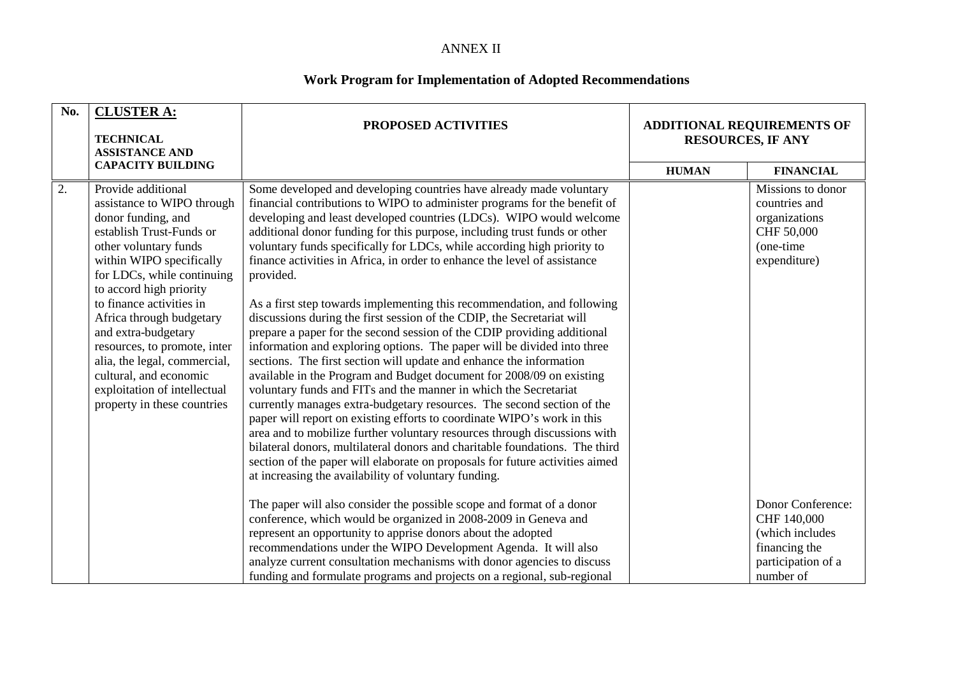#### ANNEX II

#### **Work Program for Implementation of Adopted Recommendations**

| No. | <b>CLUSTER A:</b><br><b>TECHNICAL</b><br><b>ASSISTANCE AND</b>                                                                                                                                                                                                                                                                                                                                                                                           | PROPOSED ACTIVITIES                                                                                                                                                                                                                                                                                                                                                                                                                                                                                                                                                                                                                                                                                                                                                                                                                                                                                                                                                                                                                                                                                                                                                                                                                                                                                                                                                                                                                                              | <b>ADDITIONAL REQUIREMENTS OF</b><br><b>RESOURCES, IF ANY</b> |                                                                                                |
|-----|----------------------------------------------------------------------------------------------------------------------------------------------------------------------------------------------------------------------------------------------------------------------------------------------------------------------------------------------------------------------------------------------------------------------------------------------------------|------------------------------------------------------------------------------------------------------------------------------------------------------------------------------------------------------------------------------------------------------------------------------------------------------------------------------------------------------------------------------------------------------------------------------------------------------------------------------------------------------------------------------------------------------------------------------------------------------------------------------------------------------------------------------------------------------------------------------------------------------------------------------------------------------------------------------------------------------------------------------------------------------------------------------------------------------------------------------------------------------------------------------------------------------------------------------------------------------------------------------------------------------------------------------------------------------------------------------------------------------------------------------------------------------------------------------------------------------------------------------------------------------------------------------------------------------------------|---------------------------------------------------------------|------------------------------------------------------------------------------------------------|
|     | <b>CAPACITY BUILDING</b>                                                                                                                                                                                                                                                                                                                                                                                                                                 |                                                                                                                                                                                                                                                                                                                                                                                                                                                                                                                                                                                                                                                                                                                                                                                                                                                                                                                                                                                                                                                                                                                                                                                                                                                                                                                                                                                                                                                                  | <b>HUMAN</b>                                                  | <b>FINANCIAL</b>                                                                               |
| 2.  | Provide additional<br>assistance to WIPO through<br>donor funding, and<br>establish Trust-Funds or<br>other voluntary funds<br>within WIPO specifically<br>for LDCs, while continuing<br>to accord high priority<br>to finance activities in<br>Africa through budgetary<br>and extra-budgetary<br>resources, to promote, inter<br>alia, the legal, commercial,<br>cultural, and economic<br>exploitation of intellectual<br>property in these countries | Some developed and developing countries have already made voluntary<br>financial contributions to WIPO to administer programs for the benefit of<br>developing and least developed countries (LDCs). WIPO would welcome<br>additional donor funding for this purpose, including trust funds or other<br>voluntary funds specifically for LDCs, while according high priority to<br>finance activities in Africa, in order to enhance the level of assistance<br>provided.<br>As a first step towards implementing this recommendation, and following<br>discussions during the first session of the CDIP, the Secretariat will<br>prepare a paper for the second session of the CDIP providing additional<br>information and exploring options. The paper will be divided into three<br>sections. The first section will update and enhance the information<br>available in the Program and Budget document for 2008/09 on existing<br>voluntary funds and FITs and the manner in which the Secretariat<br>currently manages extra-budgetary resources. The second section of the<br>paper will report on existing efforts to coordinate WIPO's work in this<br>area and to mobilize further voluntary resources through discussions with<br>bilateral donors, multilateral donors and charitable foundations. The third<br>section of the paper will elaborate on proposals for future activities aimed<br>at increasing the availability of voluntary funding. |                                                               | Missions to donor<br>countries and<br>organizations<br>CHF 50,000<br>(one-time<br>expenditure) |
|     |                                                                                                                                                                                                                                                                                                                                                                                                                                                          | The paper will also consider the possible scope and format of a donor<br>conference, which would be organized in 2008-2009 in Geneva and                                                                                                                                                                                                                                                                                                                                                                                                                                                                                                                                                                                                                                                                                                                                                                                                                                                                                                                                                                                                                                                                                                                                                                                                                                                                                                                         |                                                               | Donor Conference:<br>CHF 140,000                                                               |
|     |                                                                                                                                                                                                                                                                                                                                                                                                                                                          | represent an opportunity to apprise donors about the adopted<br>recommendations under the WIPO Development Agenda. It will also                                                                                                                                                                                                                                                                                                                                                                                                                                                                                                                                                                                                                                                                                                                                                                                                                                                                                                                                                                                                                                                                                                                                                                                                                                                                                                                                  |                                                               | (which includes<br>financing the                                                               |
|     |                                                                                                                                                                                                                                                                                                                                                                                                                                                          | analyze current consultation mechanisms with donor agencies to discuss                                                                                                                                                                                                                                                                                                                                                                                                                                                                                                                                                                                                                                                                                                                                                                                                                                                                                                                                                                                                                                                                                                                                                                                                                                                                                                                                                                                           |                                                               | participation of a                                                                             |
|     |                                                                                                                                                                                                                                                                                                                                                                                                                                                          | funding and formulate programs and projects on a regional, sub-regional                                                                                                                                                                                                                                                                                                                                                                                                                                                                                                                                                                                                                                                                                                                                                                                                                                                                                                                                                                                                                                                                                                                                                                                                                                                                                                                                                                                          |                                                               | number of                                                                                      |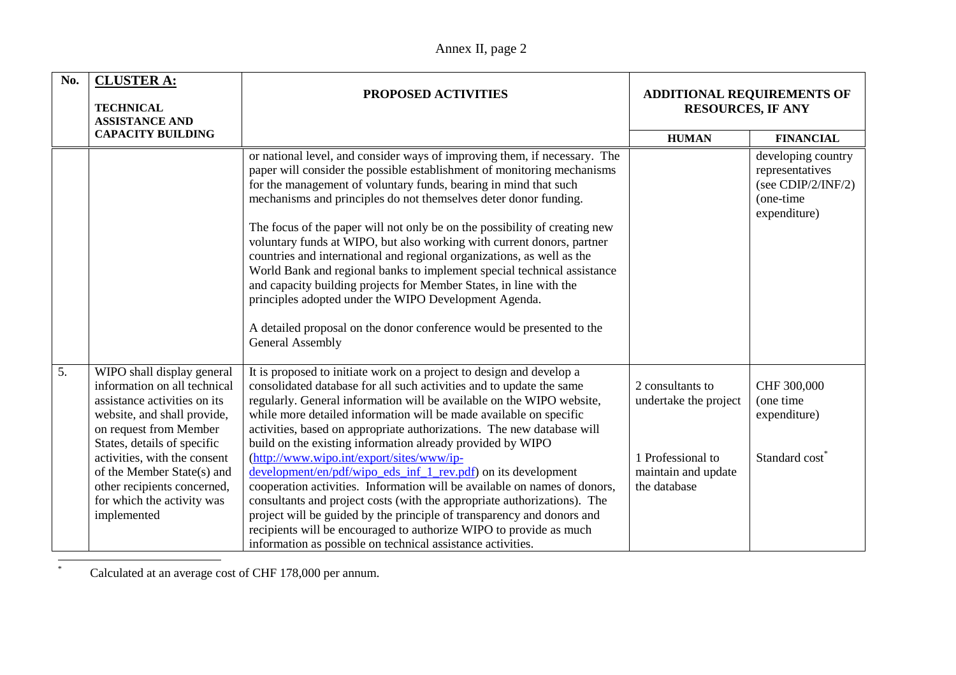| No. | <b>CLUSTER A:</b><br><b>TECHNICAL</b><br><b>ASSISTANCE AND</b>                                                                                                                                                                                                                                                               | PROPOSED ACTIVITIES                                                                                                                                                                                                                                                                                                                                                                                                                                                                                                                                                                                                                                                                                                                                                                                                                                                                                                       | <b>ADDITIONAL REQUIREMENTS OF</b><br><b>RESOURCES, IF ANY</b>                                         |                                                                                          |
|-----|------------------------------------------------------------------------------------------------------------------------------------------------------------------------------------------------------------------------------------------------------------------------------------------------------------------------------|---------------------------------------------------------------------------------------------------------------------------------------------------------------------------------------------------------------------------------------------------------------------------------------------------------------------------------------------------------------------------------------------------------------------------------------------------------------------------------------------------------------------------------------------------------------------------------------------------------------------------------------------------------------------------------------------------------------------------------------------------------------------------------------------------------------------------------------------------------------------------------------------------------------------------|-------------------------------------------------------------------------------------------------------|------------------------------------------------------------------------------------------|
|     | <b>CAPACITY BUILDING</b>                                                                                                                                                                                                                                                                                                     |                                                                                                                                                                                                                                                                                                                                                                                                                                                                                                                                                                                                                                                                                                                                                                                                                                                                                                                           | <b>HUMAN</b>                                                                                          | <b>FINANCIAL</b>                                                                         |
|     |                                                                                                                                                                                                                                                                                                                              | or national level, and consider ways of improving them, if necessary. The<br>paper will consider the possible establishment of monitoring mechanisms<br>for the management of voluntary funds, bearing in mind that such<br>mechanisms and principles do not themselves deter donor funding.<br>The focus of the paper will not only be on the possibility of creating new<br>voluntary funds at WIPO, but also working with current donors, partner<br>countries and international and regional organizations, as well as the<br>World Bank and regional banks to implement special technical assistance<br>and capacity building projects for Member States, in line with the<br>principles adopted under the WIPO Development Agenda.<br>A detailed proposal on the donor conference would be presented to the<br><b>General Assembly</b>                                                                              |                                                                                                       | developing country<br>representatives<br>(see CDIP/2/INF/2)<br>(one-time<br>expenditure) |
| 5.  | WIPO shall display general<br>information on all technical<br>assistance activities on its<br>website, and shall provide,<br>on request from Member<br>States, details of specific<br>activities, with the consent<br>of the Member State(s) and<br>other recipients concerned,<br>for which the activity was<br>implemented | It is proposed to initiate work on a project to design and develop a<br>consolidated database for all such activities and to update the same<br>regularly. General information will be available on the WIPO website,<br>while more detailed information will be made available on specific<br>activities, based on appropriate authorizations. The new database will<br>build on the existing information already provided by WIPO<br>(http://www.wipo.int/export/sites/www/ip-<br>development/en/pdf/wipo eds inf 1 rev.pdf) on its development<br>cooperation activities. Information will be available on names of donors,<br>consultants and project costs (with the appropriate authorizations). The<br>project will be guided by the principle of transparency and donors and<br>recipients will be encouraged to authorize WIPO to provide as much<br>information as possible on technical assistance activities. | 2 consultants to<br>undertake the project<br>1 Professional to<br>maintain and update<br>the database | CHF 300,000<br>(one time<br>expenditure)<br>Standard cost <sup>*</sup>                   |

\*Calculated at an average cost of CHF 178,000 per annum.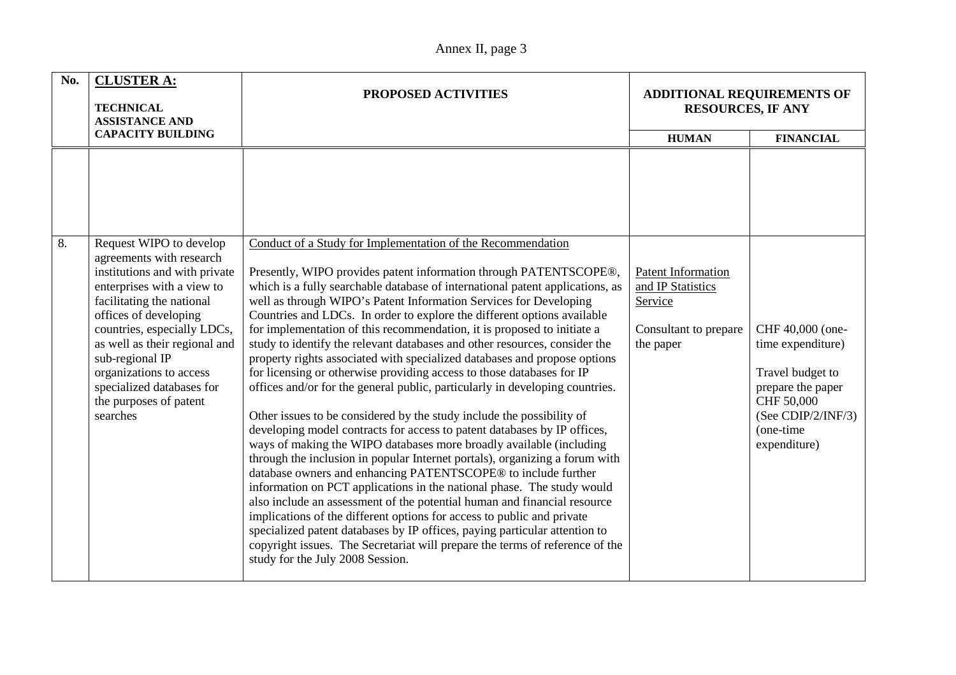| No. | <b>CLUSTER A:</b><br><b>TECHNICAL</b><br><b>ASSISTANCE AND</b>                                                                                                                                                                                                                                                                 | <b>PROPOSED ACTIVITIES</b>                                                                                                                                                                                                                                                                                                                                                                                                                                                                                                                                                                                                                                                                                                                                                                                                                                                                                                                                                                                                                                                                                                                                                                                                                                                                                                                                                                                                                                                                                      | <b>ADDITIONAL REQUIREMENTS OF</b><br><b>RESOURCES, IF ANY</b>                            |                                                                                                                                                 |
|-----|--------------------------------------------------------------------------------------------------------------------------------------------------------------------------------------------------------------------------------------------------------------------------------------------------------------------------------|-----------------------------------------------------------------------------------------------------------------------------------------------------------------------------------------------------------------------------------------------------------------------------------------------------------------------------------------------------------------------------------------------------------------------------------------------------------------------------------------------------------------------------------------------------------------------------------------------------------------------------------------------------------------------------------------------------------------------------------------------------------------------------------------------------------------------------------------------------------------------------------------------------------------------------------------------------------------------------------------------------------------------------------------------------------------------------------------------------------------------------------------------------------------------------------------------------------------------------------------------------------------------------------------------------------------------------------------------------------------------------------------------------------------------------------------------------------------------------------------------------------------|------------------------------------------------------------------------------------------|-------------------------------------------------------------------------------------------------------------------------------------------------|
|     | <b>CAPACITY BUILDING</b>                                                                                                                                                                                                                                                                                                       |                                                                                                                                                                                                                                                                                                                                                                                                                                                                                                                                                                                                                                                                                                                                                                                                                                                                                                                                                                                                                                                                                                                                                                                                                                                                                                                                                                                                                                                                                                                 | <b>HUMAN</b>                                                                             | <b>FINANCIAL</b>                                                                                                                                |
| 8.  | Request WIPO to develop                                                                                                                                                                                                                                                                                                        | Conduct of a Study for Implementation of the Recommendation                                                                                                                                                                                                                                                                                                                                                                                                                                                                                                                                                                                                                                                                                                                                                                                                                                                                                                                                                                                                                                                                                                                                                                                                                                                                                                                                                                                                                                                     |                                                                                          |                                                                                                                                                 |
|     | agreements with research<br>institutions and with private<br>enterprises with a view to<br>facilitating the national<br>offices of developing<br>countries, especially LDCs,<br>as well as their regional and<br>sub-regional IP<br>organizations to access<br>specialized databases for<br>the purposes of patent<br>searches | Presently, WIPO provides patent information through PATENTSCOPE®,<br>which is a fully searchable database of international patent applications, as<br>well as through WIPO's Patent Information Services for Developing<br>Countries and LDCs. In order to explore the different options available<br>for implementation of this recommendation, it is proposed to initiate a<br>study to identify the relevant databases and other resources, consider the<br>property rights associated with specialized databases and propose options<br>for licensing or otherwise providing access to those databases for IP<br>offices and/or for the general public, particularly in developing countries.<br>Other issues to be considered by the study include the possibility of<br>developing model contracts for access to patent databases by IP offices,<br>ways of making the WIPO databases more broadly available (including<br>through the inclusion in popular Internet portals), organizing a forum with<br>database owners and enhancing PATENTSCOPE® to include further<br>information on PCT applications in the national phase. The study would<br>also include an assessment of the potential human and financial resource<br>implications of the different options for access to public and private<br>specialized patent databases by IP offices, paying particular attention to<br>copyright issues. The Secretariat will prepare the terms of reference of the<br>study for the July 2008 Session. | Patent Information<br>and IP Statistics<br>Service<br>Consultant to prepare<br>the paper | CHF 40,000 (one-<br>time expenditure)<br>Travel budget to<br>prepare the paper<br>CHF 50,000<br>(See CDIP/2/INF/3)<br>(one-time<br>expenditure) |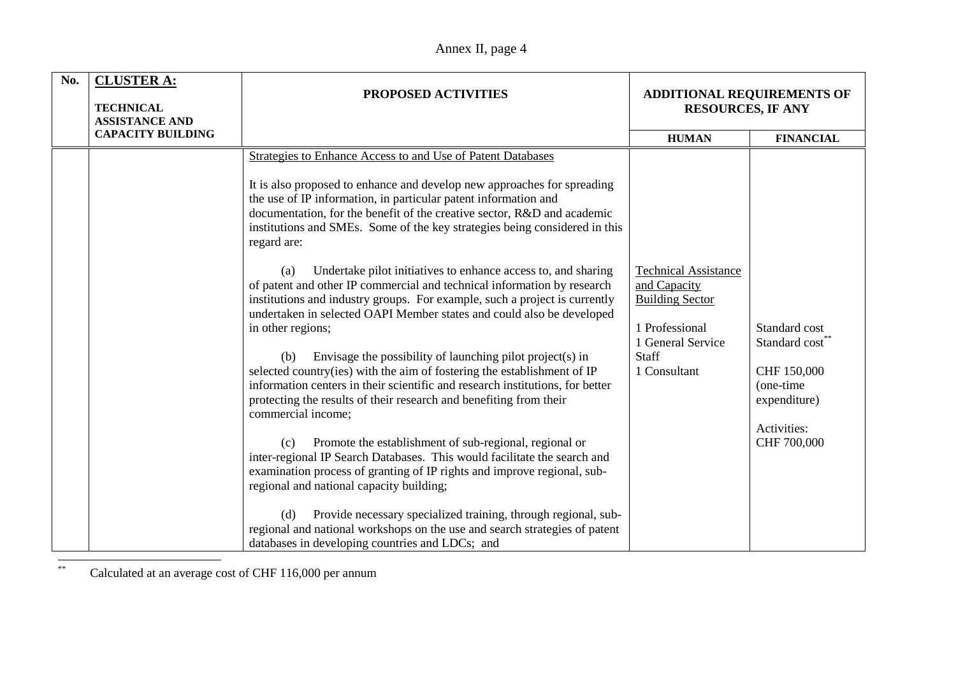| No. | <b>CLUSTER A:</b><br><b>TECHNICAL</b><br><b>ASSISTANCE AND</b> | <b>PROPOSED ACTIVITIES</b>                                                                                                                                                                                                                                                                                                                                                                                                                                                                                                                                                                                                                                                                                                                                                                                                                                                                                                                                                                                                                                                                                                                                                                                                                                                                                                                                                                                                                                                                                                 | <b>ADDITIONAL REQUIREMENTS OF</b><br><b>RESOURCES, IF ANY</b>                                                                                |                                                                                                                       |
|-----|----------------------------------------------------------------|----------------------------------------------------------------------------------------------------------------------------------------------------------------------------------------------------------------------------------------------------------------------------------------------------------------------------------------------------------------------------------------------------------------------------------------------------------------------------------------------------------------------------------------------------------------------------------------------------------------------------------------------------------------------------------------------------------------------------------------------------------------------------------------------------------------------------------------------------------------------------------------------------------------------------------------------------------------------------------------------------------------------------------------------------------------------------------------------------------------------------------------------------------------------------------------------------------------------------------------------------------------------------------------------------------------------------------------------------------------------------------------------------------------------------------------------------------------------------------------------------------------------------|----------------------------------------------------------------------------------------------------------------------------------------------|-----------------------------------------------------------------------------------------------------------------------|
|     | <b>CAPACITY BUILDING</b>                                       |                                                                                                                                                                                                                                                                                                                                                                                                                                                                                                                                                                                                                                                                                                                                                                                                                                                                                                                                                                                                                                                                                                                                                                                                                                                                                                                                                                                                                                                                                                                            | <b>HUMAN</b>                                                                                                                                 | <b>FINANCIAL</b>                                                                                                      |
|     |                                                                | Strategies to Enhance Access to and Use of Patent Databases<br>It is also proposed to enhance and develop new approaches for spreading<br>the use of IP information, in particular patent information and<br>documentation, for the benefit of the creative sector, R&D and academic<br>institutions and SMEs. Some of the key strategies being considered in this<br>regard are:<br>Undertake pilot initiatives to enhance access to, and sharing<br>(a)<br>of patent and other IP commercial and technical information by research<br>institutions and industry groups. For example, such a project is currently<br>undertaken in selected OAPI Member states and could also be developed<br>in other regions;<br>Envisage the possibility of launching pilot project(s) in<br>(b)<br>selected country(ies) with the aim of fostering the establishment of IP<br>information centers in their scientific and research institutions, for better<br>protecting the results of their research and benefiting from their<br>commercial income;<br>Promote the establishment of sub-regional, regional or<br>(c)<br>inter-regional IP Search Databases. This would facilitate the search and<br>examination process of granting of IP rights and improve regional, sub-<br>regional and national capacity building;<br>Provide necessary specialized training, through regional, sub-<br>(d)<br>regional and national workshops on the use and search strategies of patent<br>databases in developing countries and LDCs; and | <b>Technical Assistance</b><br>and Capacity<br><b>Building Sector</b><br>1 Professional<br>1 General Service<br><b>Staff</b><br>1 Consultant | Standard cost<br>Standard cost <sup>®</sup><br>CHF 150,000<br>(one-time<br>expenditure)<br>Activities:<br>CHF 700,000 |

\*\*Calculated at an average cost of CHF 116,000 per annum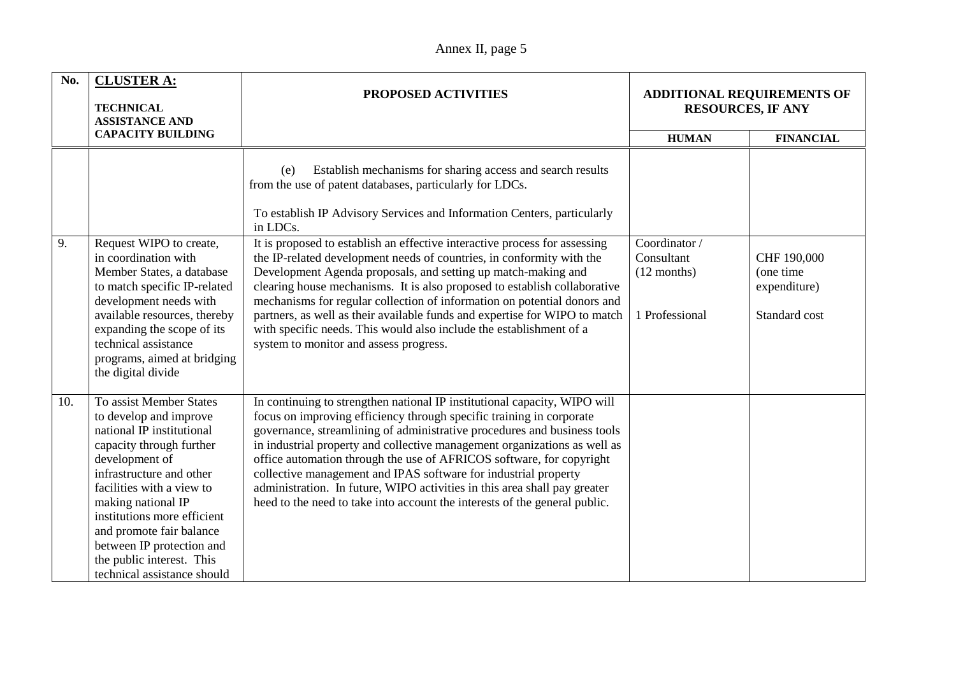| No. | <b>CLUSTER A:</b><br><b>TECHNICAL</b><br><b>ASSISTANCE AND</b>                                                                                                                                                                                                                                                                                                  | PROPOSED ACTIVITIES                                                                                                                                                                                                                                                                                                                                                                                                                                                                                                                                                                                              | <b>ADDITIONAL REQUIREMENTS OF</b><br><b>RESOURCES, IF ANY</b>  |                                                           |
|-----|-----------------------------------------------------------------------------------------------------------------------------------------------------------------------------------------------------------------------------------------------------------------------------------------------------------------------------------------------------------------|------------------------------------------------------------------------------------------------------------------------------------------------------------------------------------------------------------------------------------------------------------------------------------------------------------------------------------------------------------------------------------------------------------------------------------------------------------------------------------------------------------------------------------------------------------------------------------------------------------------|----------------------------------------------------------------|-----------------------------------------------------------|
|     | <b>CAPACITY BUILDING</b>                                                                                                                                                                                                                                                                                                                                        |                                                                                                                                                                                                                                                                                                                                                                                                                                                                                                                                                                                                                  | <b>HUMAN</b>                                                   | <b>FINANCIAL</b>                                          |
|     |                                                                                                                                                                                                                                                                                                                                                                 | Establish mechanisms for sharing access and search results<br>(e)<br>from the use of patent databases, particularly for LDCs.<br>To establish IP Advisory Services and Information Centers, particularly<br>in LDCs.                                                                                                                                                                                                                                                                                                                                                                                             |                                                                |                                                           |
| 9.  | Request WIPO to create,<br>in coordination with<br>Member States, a database<br>to match specific IP-related<br>development needs with<br>available resources, thereby<br>expanding the scope of its<br>technical assistance<br>programs, aimed at bridging<br>the digital divide                                                                               | It is proposed to establish an effective interactive process for assessing<br>the IP-related development needs of countries, in conformity with the<br>Development Agenda proposals, and setting up match-making and<br>clearing house mechanisms. It is also proposed to establish collaborative<br>mechanisms for regular collection of information on potential donors and<br>partners, as well as their available funds and expertise for WIPO to match<br>with specific needs. This would also include the establishment of a<br>system to monitor and assess progress.                                     | Coordinator /<br>Consultant<br>$(12$ months)<br>1 Professional | CHF 190,000<br>(one time<br>expenditure)<br>Standard cost |
| 10. | To assist Member States<br>to develop and improve<br>national IP institutional<br>capacity through further<br>development of<br>infrastructure and other<br>facilities with a view to<br>making national IP<br>institutions more efficient<br>and promote fair balance<br>between IP protection and<br>the public interest. This<br>technical assistance should | In continuing to strengthen national IP institutional capacity, WIPO will<br>focus on improving efficiency through specific training in corporate<br>governance, streamlining of administrative procedures and business tools<br>in industrial property and collective management organizations as well as<br>office automation through the use of AFRICOS software, for copyright<br>collective management and IPAS software for industrial property<br>administration. In future, WIPO activities in this area shall pay greater<br>heed to the need to take into account the interests of the general public. |                                                                |                                                           |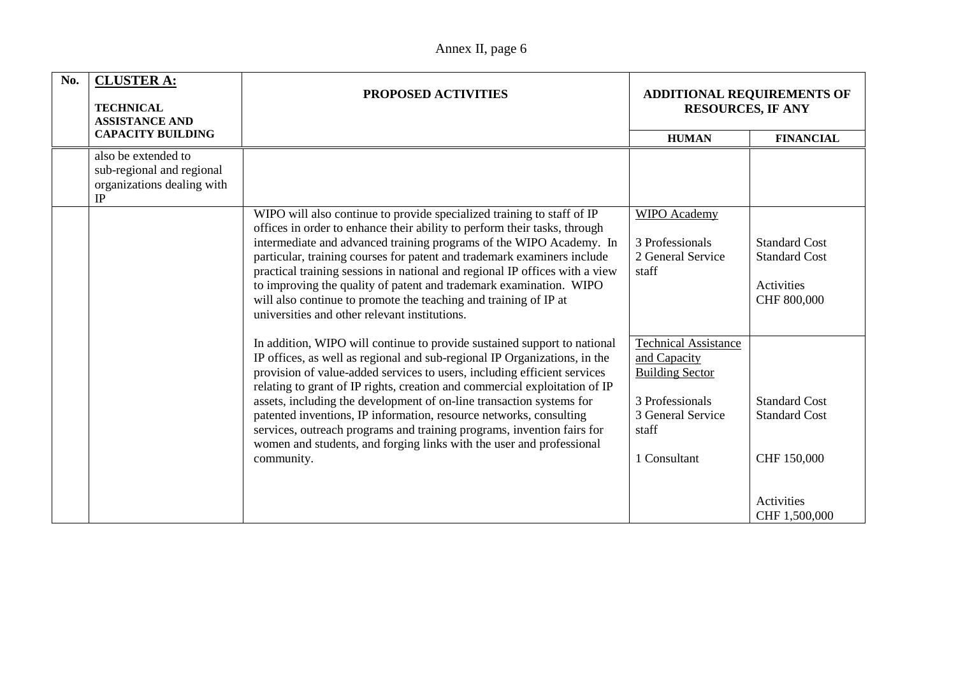| Annex II, page 6 |  |
|------------------|--|
|------------------|--|

| No. | <b>CLUSTER A:</b><br><b>TECHNICAL</b><br><b>ASSISTANCE AND</b>                       | PROPOSED ACTIVITIES                                                                                                                                                                                                                                                                                                                                                                                                                                                                                                                                                                                                           | ADDITIONAL REQUIREMENTS OF<br><b>RESOURCES, IF ANY</b>                                                                                 |                                                                                            |
|-----|--------------------------------------------------------------------------------------|-------------------------------------------------------------------------------------------------------------------------------------------------------------------------------------------------------------------------------------------------------------------------------------------------------------------------------------------------------------------------------------------------------------------------------------------------------------------------------------------------------------------------------------------------------------------------------------------------------------------------------|----------------------------------------------------------------------------------------------------------------------------------------|--------------------------------------------------------------------------------------------|
|     | <b>CAPACITY BUILDING</b>                                                             |                                                                                                                                                                                                                                                                                                                                                                                                                                                                                                                                                                                                                               | <b>HUMAN</b>                                                                                                                           | <b>FINANCIAL</b>                                                                           |
|     | also be extended to<br>sub-regional and regional<br>organizations dealing with<br>IP |                                                                                                                                                                                                                                                                                                                                                                                                                                                                                                                                                                                                                               |                                                                                                                                        |                                                                                            |
|     |                                                                                      | WIPO will also continue to provide specialized training to staff of IP<br>offices in order to enhance their ability to perform their tasks, through<br>intermediate and advanced training programs of the WIPO Academy. In<br>particular, training courses for patent and trademark examiners include<br>practical training sessions in national and regional IP offices with a view<br>to improving the quality of patent and trademark examination. WIPO<br>will also continue to promote the teaching and training of IP at<br>universities and other relevant institutions.                                               | <b>WIPO</b> Academy<br>3 Professionals<br>2 General Service<br>staff                                                                   | <b>Standard Cost</b><br><b>Standard Cost</b><br>Activities<br>CHF 800,000                  |
|     |                                                                                      | In addition, WIPO will continue to provide sustained support to national<br>IP offices, as well as regional and sub-regional IP Organizations, in the<br>provision of value-added services to users, including efficient services<br>relating to grant of IP rights, creation and commercial exploitation of IP<br>assets, including the development of on-line transaction systems for<br>patented inventions, IP information, resource networks, consulting<br>services, outreach programs and training programs, invention fairs for<br>women and students, and forging links with the user and professional<br>community. | <b>Technical Assistance</b><br>and Capacity<br><b>Building Sector</b><br>3 Professionals<br>3 General Service<br>staff<br>1 Consultant | <b>Standard Cost</b><br><b>Standard Cost</b><br>CHF 150,000<br>Activities<br>CHF 1,500,000 |